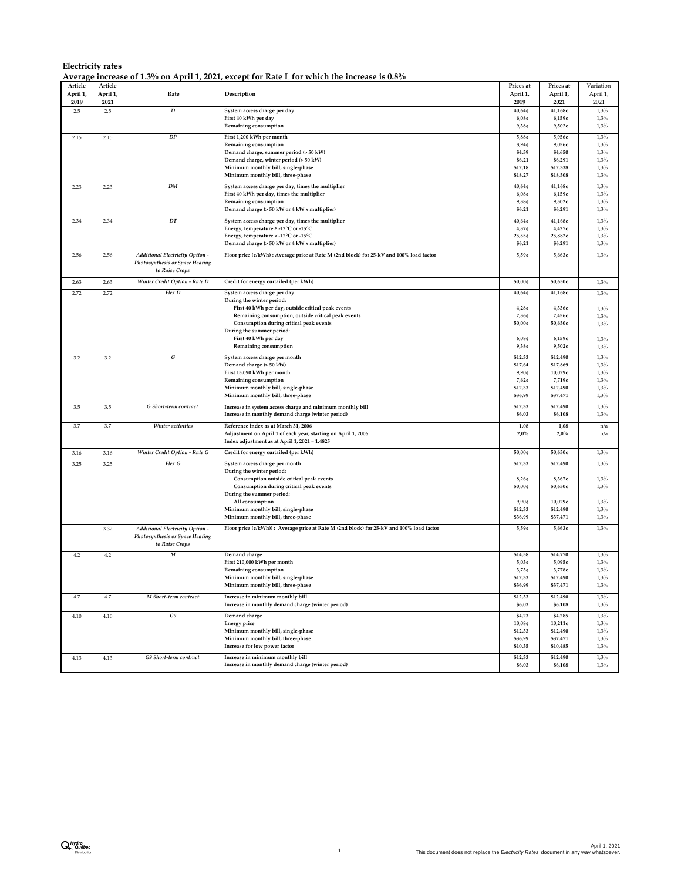|          |          |                                        | Average increase of 1.3% on April 1, 2021, except for Rate L for which the increase is 0.8%                    |           |            |           |
|----------|----------|----------------------------------------|----------------------------------------------------------------------------------------------------------------|-----------|------------|-----------|
| Article  | Article  |                                        |                                                                                                                | Prices at | Prices at  | Variation |
| April 1, | April 1, | Rate                                   | Description                                                                                                    | April 1,  | April 1,   | April 1,  |
| 2019     | 2021     |                                        |                                                                                                                | 2019      | 2021       | 2021      |
| 2.5      | 2.5      | $\boldsymbol{D}$                       | System access charge per day                                                                                   | 40,64¢    | 41,168¢    | 1,3%      |
|          |          |                                        | First 40 kWh per day                                                                                           | 6,08c     | 6,159c     | 1,3%      |
|          |          |                                        | Remaining consumption                                                                                          | 9,38c     | $9,502$ ¢  | 1,3%      |
| 2.15     | 2.15     | ${\cal DP}$                            | First 1,200 kWh per month                                                                                      | 5,88c     | 5,956¢     | 1,3%      |
|          |          |                                        | Remaining consumption                                                                                          | 8,94c     | 9,056¢     | 1,3%      |
|          |          |                                        | Demand charge, summer period (> 50 kW)                                                                         | \$4,59    | \$4,650    | 1,3%      |
|          |          |                                        | Demand charge, winter period (> 50 kW)                                                                         | \$6,21    | \$6,291    | 1,3%      |
|          |          |                                        | Minimum monthly bill, single-phase                                                                             | \$12,18   | \$12,338   | 1,3%      |
|          |          |                                        | Minimum monthly bill, three-phase                                                                              | \$18,27   | \$18,508   | 1,3%      |
|          |          |                                        |                                                                                                                |           |            |           |
| 2.23     | 2.23     | DM                                     | System access charge per day, times the multiplier                                                             | 40,64¢    | 41,168¢    | 1,3%      |
|          |          |                                        | First 40 kWh per day, times the multiplier                                                                     | 6,08c     | 6,159c     | 1,3%      |
|          |          |                                        | Remaining consumption                                                                                          | 9,38c     | $9,502$ ¢  | 1,3%      |
|          |          |                                        | Demand charge (> 50 kW or 4 kW x multiplier)                                                                   | \$6,21    | \$6,291    | 1,3%      |
| 2.34     | 2.34     | DT                                     | System access charge per day, times the multiplier                                                             | 40,64¢    | 41,168¢    | 1,3%      |
|          |          |                                        | Energy, temperature ≥ -12°C or -15°C                                                                           | 4,37c     | $4,427$ ¢  | 1,3%      |
|          |          |                                        | Energy, temperature < - 12°C or -15°C                                                                          | 25,55€    | 25,882¢    | 1,3%      |
|          |          |                                        | Demand charge (> 50 kW or 4 kW x multiplier)                                                                   | \$6,21    | \$6,291    | 1,3%      |
| 2.56     | 2.56     | Additional Electricity Option          | Floor price (¢/kWh) : Average price at Rate M (2nd block) for 25-kV and 100% load factor                       | 5,59c     | 5,663¢     | 1,3%      |
|          |          | Photosynthesis or Space Heating        |                                                                                                                |           |            |           |
|          |          | to Raise Crops                         |                                                                                                                |           |            |           |
|          |          |                                        |                                                                                                                |           |            |           |
| 2.63     | 2.63     | Winter Credit Option - Rate D          | Credit for energy curtailed (per kWh)                                                                          | 50,00€    | 50,650¢    | 1,3%      |
| 2.72     | 2.72     | Flex D                                 | System access charge per day                                                                                   | 40,64c    | 41,168¢    | 1,3%      |
|          |          |                                        | During the winter period:                                                                                      |           |            |           |
|          |          |                                        | First 40 kWh per day, outside critical peak events                                                             | 4,28c     | 4,336€     | 1,3%      |
|          |          |                                        | Remaining consumption, outside critical peak events                                                            | $7,36$ ¢  | 7,456¢     | 1,3%      |
|          |          |                                        | Consumption during critical peak events                                                                        | 50,00€    | 50,650¢    | 1,3%      |
|          |          |                                        | During the summer period:                                                                                      |           |            |           |
|          |          |                                        | First 40 kWh per day                                                                                           | 6,08c     | 6,159c     | 1,3%      |
|          |          |                                        | Remaining consumption                                                                                          | 9,38c     | $9,502$ ¢  | 1,3%      |
| 3.2      | 3.2      | G                                      | System access charge per month                                                                                 | \$12,33   | \$12,490   | 1,3%      |
|          |          |                                        | Demand charge (> 50 kW)                                                                                        | \$17,64   | \$17,869   | 1,3%      |
|          |          |                                        | First 15,090 kWh per month                                                                                     | 9,90c     | 10,029¢    | 1,3%      |
|          |          |                                        | Remaining consumption                                                                                          | $7,62$ ¢  | 7,719¢     | 1,3%      |
|          |          |                                        | Minimum monthly bill, single-phase                                                                             | \$12,33   | \$12,490   | 1,3%      |
|          |          |                                        | Minimum monthly bill, three-phase                                                                              | \$36,99   | \$37,471   | 1,3%      |
|          | 3.5      | G Short-term contract                  |                                                                                                                | \$12,33   | \$12,490   | 1,3%      |
| 3.5      |          |                                        | Increase in system access charge and minimum monthly bill<br>Increase in monthly demand charge (winter period) | \$6,03    | \$6,108    | 1,3%      |
|          |          |                                        |                                                                                                                |           |            |           |
| 3.7      | 3.7      | Winter activities                      | Reference index as at March 31, 2006                                                                           | 1,08      | 1,08       | n/a       |
|          |          |                                        | Adjustment on April 1 of each year, starting on April 1, 2006                                                  | 2,0%      | 2,0%       | n/a       |
|          |          |                                        | Index adjustment as at April 1, 2021 = 1.4825                                                                  |           |            |           |
| 3.16     | 3.16     | Winter Credit Option - Rate G          | Credit for energy curtailed (per kWh)                                                                          | 50,00¢    | 50,650¢    | 1,3%      |
|          |          |                                        |                                                                                                                |           |            |           |
| 3.25     | 3.25     | Flex G                                 | System access charge per month<br>During the winter period:                                                    | \$12,33   | \$12,490   | 1,3%      |
|          |          |                                        |                                                                                                                | 8,26c     | 8,367¢     | 1,3%      |
|          |          |                                        | Consumption outside critical peak events<br>Consumption during critical peak events                            | 50,00€    | 50,650¢    | 1,3%      |
|          |          |                                        | During the summer period:                                                                                      |           |            |           |
|          |          |                                        | All consumption                                                                                                | 9,90c     | 10,029¢    | 1,3%      |
|          |          |                                        | Minimum monthly bill, single-phase                                                                             | \$12,33   | \$12,490   | 1,3%      |
|          |          |                                        | Minimum monthly bill, three-phase                                                                              | \$36,99   | \$37,471   | 1,3%      |
|          |          |                                        |                                                                                                                |           |            |           |
|          | 3.32     | Additional Electricity Option -        | Floor price (¢/kWh)): Average price at Rate M (2nd block) for 25-kV and 100% load factor                       | 5,59c     | 5,663¢     | 1,3%      |
|          |          | <b>Photosynthesis or Space Heating</b> |                                                                                                                |           |            |           |
|          |          | to Raise Crops                         |                                                                                                                |           |            |           |
| 4.2      | $4.2\,$  | $\boldsymbol{M}$                       | Demand charge                                                                                                  | \$14,58   | \$14,770   | 1,3%      |
|          |          |                                        | First 210,000 kWh per month                                                                                    | 5,03c     | 5,095¢     | 1,3%      |
|          |          |                                        | Remaining consumption                                                                                          | 3,73c     | 3,778¢     | 1,3%      |
|          |          |                                        | Minimum monthly bill, single-phase                                                                             | \$12,33   | \$12,490   | 1,3%      |
|          |          |                                        | Minimum monthly bill, three-phase                                                                              | \$36,99   | \$37,471   | 1,3%      |
| 4.7      | 4.7      | M Short-term contract                  | Increase in minimum monthly bill                                                                               | \$12,33   | \$12,490   | 1,3%      |
|          |          |                                        | Increase in monthly demand charge (winter period)                                                              | \$6,03    | \$6,108    | 1,3%      |
|          |          |                                        |                                                                                                                |           |            |           |
| 4.10     | 4.10     | G9                                     | Demand charge                                                                                                  | \$4,23    | \$4,285    | 1,3%      |
|          |          |                                        | <b>Energy price</b>                                                                                            | 10,08c    | $10,211$ ¢ | 1,3%      |
|          |          |                                        | Minimum monthly bill, single-phase                                                                             | \$12,33   | \$12,490   | 1,3%      |
|          |          |                                        | Minimum monthly bill, three-phase                                                                              | \$36,99   | \$37,471   | 1,3%      |
|          |          |                                        | Increase for low power factor                                                                                  | \$10,35   | \$10,485   | 1,3%      |
| 4.13     | 4.13     | G9 Short-term contract                 | Increase in minimum monthly bill                                                                               | \$12,33   | \$12,490   | 1,3%      |
|          |          |                                        | Increase in monthly demand charge (winter period)                                                              | \$6,03    | \$6,108    | 1,3%      |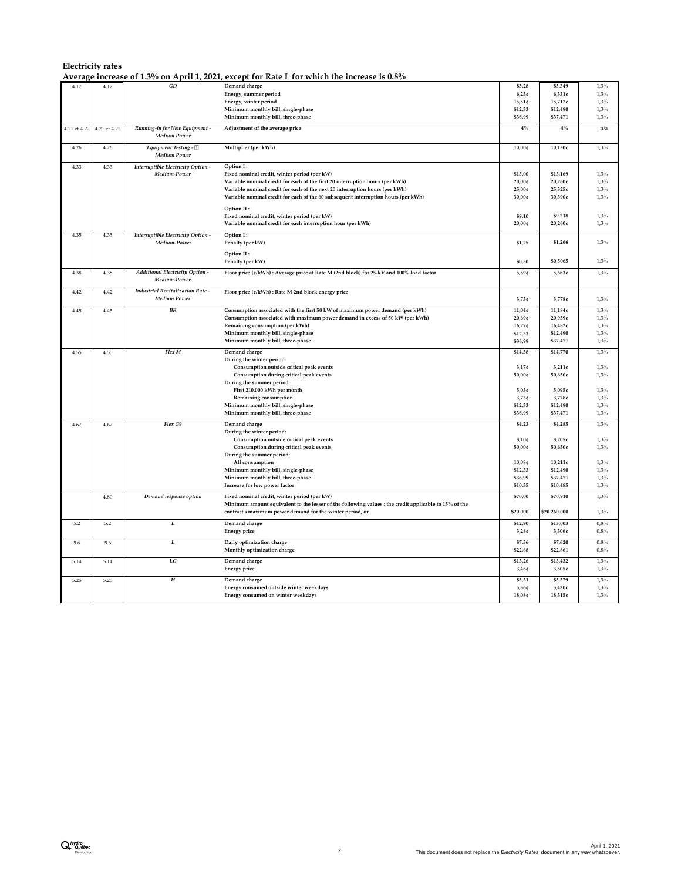|              |              |                                                       | Average increase of 1.3% on April 1, 2021, except for Rate L for which the increase is $0.8\%$        |           |              |      |
|--------------|--------------|-------------------------------------------------------|-------------------------------------------------------------------------------------------------------|-----------|--------------|------|
| 4.17         | 4.17         | $\cal GD$                                             | Demand charge                                                                                         | \$5,28    | \$5,349      | 1,3% |
|              |              |                                                       | Energy, summer period                                                                                 | 6,25c     | $6,331$ e    | 1,3% |
|              |              |                                                       | Energy, winter period                                                                                 | $15,51$ ¢ | 15,712¢      | 1,3% |
|              |              |                                                       | Minimum monthly bill, single-phase                                                                    | \$12,33   | \$12,490     | 1,3% |
|              |              |                                                       | Minimum monthly bill, three-phase                                                                     | \$36,99   | \$37,471     | 1,3% |
|              |              |                                                       |                                                                                                       |           |              |      |
| 4.21 et 4.22 | 4.21 et 4.22 | Running-in for New Equipment -<br><b>Medium Power</b> | Adjustment of the average price                                                                       | $4\%$     | $4\%$        | n/a  |
| 4.26         | 4.26         | Equipment Testing -                                   | Multiplier (per kWh)                                                                                  | 10,00c    | 10,130c      | 1,3% |
|              |              | <b>Medium Power</b>                                   |                                                                                                       |           |              |      |
| 4.33         | 4.33         | Interruptible Electricity Option -                    | Option I:                                                                                             |           |              |      |
|              |              | Medium-Power                                          | Fixed nominal credit, winter period (per kW)                                                          | \$13,00   | \$13,169     | 1,3% |
|              |              |                                                       | Variable nominal credit for each of the first 20 interruption hours (per kWh)                         | 20,00¢    | 20,260¢      | 1,3% |
|              |              |                                                       | Variable nominal credit for each of the next 20 interruption hours (per kWh)                          | 25,00¢    | 25,325€      | 1,3% |
|              |              |                                                       | Variable nominal credit for each of the 60 subsequent interruption hours (per kWh)                    | 30,00¢    | 30,390¢      | 1,3% |
|              |              |                                                       |                                                                                                       |           |              |      |
|              |              |                                                       | Option II:                                                                                            |           |              |      |
|              |              |                                                       | Fixed nominal credit, winter period (per kW)                                                          | \$9,10    | \$9,218      | 1,3% |
|              |              |                                                       | Variable nominal credit for each interruption hour (per kWh)                                          | 20,00¢    | 20,260¢      | 1,3% |
| 4.35         | 4.35         | Interruptible Electricity Option -                    | Option I:                                                                                             |           |              |      |
|              |              | Medium-Power                                          | Penalty (per kW)                                                                                      | \$1,25    | \$1,266      | 1,3% |
|              |              |                                                       |                                                                                                       |           |              |      |
|              |              |                                                       | Option II:                                                                                            |           |              |      |
|              |              |                                                       | Penalty (per kW)                                                                                      | \$0,50    | \$0,5065     | 1,3% |
| 4.38         | 4.38         | Additional Electricity Option -                       | Floor price (¢/kWh) : Average price at Rate M (2nd block) for 25-kV and 100% load factor              | 5,59c     | 5,663¢       | 1,3% |
|              |              | Medium-Power                                          |                                                                                                       |           |              |      |
|              |              |                                                       |                                                                                                       |           |              |      |
| 4.42         | 4.42         | Industrial Revitalization Rate -                      | Floor price (¢/kWh) : Rate M 2nd block energy price                                                   |           |              |      |
|              |              | <b>Medium Power</b>                                   |                                                                                                       | 3,73c     | 3,778¢       | 1,3% |
| 4.45         | 4.45         | <b>BR</b>                                             | Consumption associated with the first 50 kW of maximum power demand (per kWh)                         | 11,04¢    | 11,184¢      | 1,3% |
|              |              |                                                       | Consumption associated with maximum power demand in excess of 50 kW (per kWh)                         | 20,69¢    | 20,959¢      | 1,3% |
|              |              |                                                       | Remaining consumption (per kWh)                                                                       | 16,27¢    | 16,482¢      | 1,3% |
|              |              |                                                       | Minimum monthly bill, single-phase                                                                    | \$12,33   | \$12,490     | 1,3% |
|              |              |                                                       | Minimum monthly bill, three-phase                                                                     | \$36,99   | \$37,471     | 1,3% |
|              |              |                                                       |                                                                                                       |           |              |      |
| 4.55         | 4.55         | Flex M                                                | Demand charge                                                                                         | \$14,58   | \$14,770     | 1,3% |
|              |              |                                                       | During the winter period:                                                                             |           |              |      |
|              |              |                                                       | Consumption outside critical peak events                                                              | 3,17c     | $3,211$ ¢    | 1,3% |
|              |              |                                                       | Consumption during critical peak events                                                               | 50,00¢    | 50,650€      | 1,3% |
|              |              |                                                       | During the summer period:                                                                             |           |              |      |
|              |              |                                                       | First 210,000 kWh per month                                                                           | 5,03c     | 5,095¢       | 1,3% |
|              |              |                                                       | Remaining consumption                                                                                 | 3,73c     | 3,778¢       | 1,3% |
|              |              |                                                       | Minimum monthly bill, single-phase                                                                    | \$12,33   | \$12,490     | 1,3% |
|              |              |                                                       | Minimum monthly bill, three-phase                                                                     | \$36,99   | \$37,471     | 1,3% |
| 4.67         | 4.67         | Flex G9                                               | Demand charge                                                                                         | \$4,23    | \$4,285      | 1,3% |
|              |              |                                                       | During the winter period:                                                                             |           |              |      |
|              |              |                                                       | Consumption outside critical peak events                                                              | 8,10c     | 8,205¢       | 1,3% |
|              |              |                                                       | Consumption during critical peak events                                                               | 50,00¢    | 50,650€      | 1,3% |
|              |              |                                                       | During the summer period:                                                                             |           |              |      |
|              |              |                                                       | All consumption                                                                                       | 10,08¢    | $10,211$ ¢   | 1,3% |
|              |              |                                                       | Minimum monthly bill, single-phase                                                                    | \$12,33   | \$12,490     | 1,3% |
|              |              |                                                       | Minimum monthly bill, three-phase                                                                     | \$36,99   | \$37,471     | 1,3% |
|              |              |                                                       | Increase for low power factor                                                                         | \$10,35   | \$10,485     | 1,3% |
|              |              |                                                       |                                                                                                       |           |              |      |
|              | 4.80         | Demand response option                                | Fixed nominal credit, winter period (per kW)                                                          | \$70,00   | \$70,910     | 1,3% |
|              |              |                                                       | Minimum amount equivalent to the lesser of the following values : the credit applicable to 15% of the |           |              |      |
|              |              |                                                       | contract's maximum power demand for the winter period, or                                             | \$20 000  | \$20 260,000 | 1,3% |
| 5.2          | 5.2          | L                                                     | Demand charge                                                                                         | \$12,90   | \$13,003     | 0,8% |
|              |              |                                                       | <b>Energy price</b>                                                                                   | 3,28c     | 3,306¢       | 0,8% |
|              |              |                                                       |                                                                                                       |           |              |      |
| 5.6          | 5.6          | L                                                     | Daily optimization charge                                                                             | \$7,56    | \$7,620      | 0.8% |
|              |              |                                                       | Monthly optimization charge                                                                           | \$22,68   | \$22,861     | 0,8% |
| 5.14         | 5.14         | LG                                                    | Demand charge                                                                                         | \$13,26   | \$13,432     | 1,3% |
|              |              |                                                       | <b>Energy</b> price                                                                                   | 3,46c     | 3,505¢       | 1,3% |
|              |              |                                                       |                                                                                                       |           |              |      |
| 5.25         | 5.25         | $\boldsymbol{H}$                                      | Demand charge                                                                                         | \$5,31    | \$5,379      | 1,3% |
|              |              |                                                       | Energy consumed outside winter weekdays                                                               | 5,36c     | 5,430¢       | 1,3% |
|              |              |                                                       | Energy consumed on winter weekdays                                                                    | 18,08¢    | 18,315¢      | 1,3% |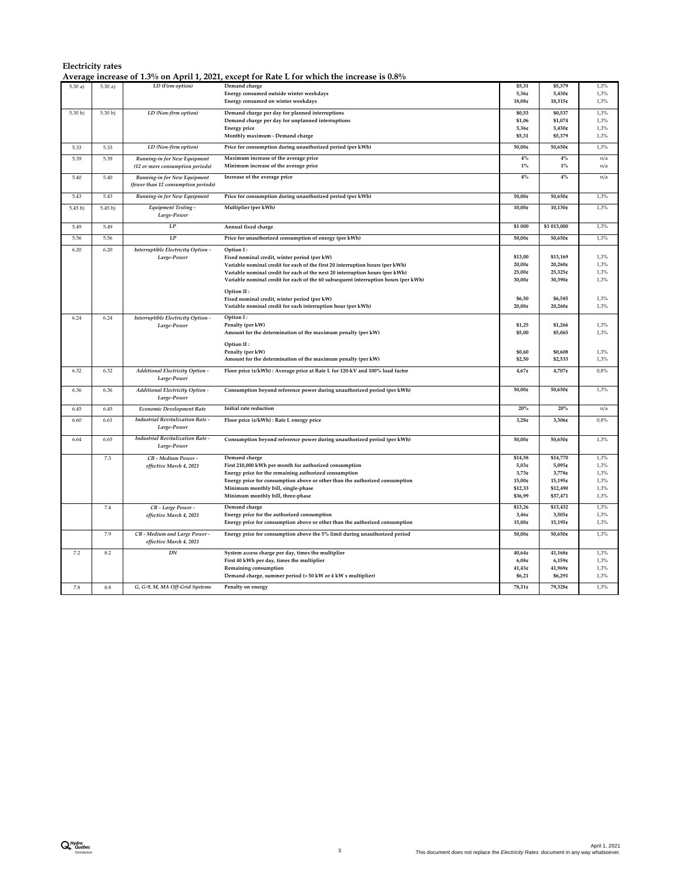|                      |         |                                                                     | Average increase of 1.3% on April 1, 2021, except for Rate L for which the increase is 0.8% |         |             |      |
|----------------------|---------|---------------------------------------------------------------------|---------------------------------------------------------------------------------------------|---------|-------------|------|
| $\overline{5.30a}$ ) | 5.30a   | LD (Firm option)                                                    | Demand charge                                                                               | \$5,31  | \$5,379     | 1,3% |
|                      |         |                                                                     | Energy consumed outside winter weekdays                                                     | 5,36c   | 5,430¢      | 1,3% |
|                      |         |                                                                     | Energy consumed on winter weekdays                                                          | 18,08¢  | 18,315¢     | 1,3% |
| 5.30 b)              | 5.30 b) | LD (Non-firm option)                                                | Demand charge per day for planned interruptions                                             | \$0,53  | \$0,537     | 1.3% |
|                      |         |                                                                     | Demand charge per day for unplanned interruptions                                           | \$1,06  | \$1,074     | 1,3% |
|                      |         |                                                                     | <b>Energy</b> price                                                                         | 5,36c   | 5,430¢      | 1,3% |
|                      |         |                                                                     | Monthly maximum - Demand charge                                                             | \$5,31  | \$5,379     | 1,3% |
| 5.33                 | 5.33    | LD (Non-firm option)                                                | Price for consumption during unauthorized period (per kWh)                                  | 50,00€  | $50,650$ ¢  | 1,3% |
| 5.39                 | 5.39    | Running-in for New Equipment                                        | Maximum increase of the average price                                                       | 4%      | 4%          | n/a  |
|                      |         | (12 or more consumption periods)                                    | Minimum increase of the average price                                                       | $1\%$   | $1\%$       | n/a  |
| 5.40                 | 5.40    | Running-in for New Equipment<br>(fewer than 12 consumption periods) | Increase of the average price                                                               | $4\%$   | 4%          | n/a  |
| 5.43                 | 5.43    | Running-in for New Equipment                                        | Price for consumption during unauthorized period (per kWh)                                  | 50,00¢  | 50,650¢     | 1,3% |
| 5.45 b)              | 5.45 b) | <b>Equipment Testing -</b><br>Large-Power                           | Multiplier (per kWh)                                                                        | 10,00c  | 10,130¢     | 1,3% |
| 5.49                 | 5.49    | LP                                                                  | Annual fixed charge                                                                         | \$1 000 | \$1 013,000 | 1,3% |
| 5.56                 | 5.56    | $\cal LP$                                                           | Price for unauthorized consumption of energy (per kWh)                                      | 50,00¢  | 50,650¢     | 1,3% |
| 6.20                 | 6.20    | Interruptible Electricity Option -                                  | Option I:                                                                                   |         |             |      |
|                      |         | Large-Power                                                         | Fixed nominal credit, winter period (per kW)                                                | \$13,00 | \$13,169    | 1,3% |
|                      |         |                                                                     | Variable nominal credit for each of the first 20 interruption hours (per kWh)               | 20,00€  | 20,260¢     | 1,3% |
|                      |         |                                                                     | Variable nominal credit for each of the next 20 interruption hours (per kWh)                | 25,00€  | 25,325¢     | 1,3% |
|                      |         |                                                                     | Variable nominal credit for each of the 60 subsequent interruption hours (per kWh)          | 30,00¢  | 30,390¢     | 1,3% |
|                      |         |                                                                     | Option II:                                                                                  |         |             |      |
|                      |         |                                                                     | Fixed nominal credit, winter period (per kW)                                                | \$6,50  | \$6,585     | 1,3% |
|                      |         |                                                                     | Variable nominal credit for each interruption hour (per kWh)                                | 20,00¢  | 20,260¢     | 1,3% |
| 6.24                 | 6.24    | Interruptible Electricity Option -                                  | Option I:                                                                                   |         |             |      |
|                      |         | Large-Power                                                         | Penalty (per kW)                                                                            | \$1,25  | \$1,266     | 1,3% |
|                      |         |                                                                     | Amount for the determination of the maximum penalty (per kW)                                | \$5,00  | \$5,065     | 1,3% |
|                      |         |                                                                     | Option II:                                                                                  |         |             |      |
|                      |         |                                                                     | Penalty (per kW)                                                                            | \$0,60  | \$0,608     | 1,3% |
|                      |         |                                                                     | Amount for the determination of the maximum penalty (per kW)                                | \$2,50  | \$2,533     | 1,3% |
| 6.32                 | 6.32    | Additional Electricity Option -                                     | Floor price (¢/kWh) : Average price at Rate L for 120-kV and 100% load factor               | 4,67¢   | 4,707¢      | 0,8% |
|                      |         | Large-Power                                                         |                                                                                             |         |             |      |
| 6.36                 | 6.36    | <b>Additional Electricity Option -</b>                              | Consumption beyond reference power during unauthorized period (per kWh)                     | 50,00€  | 50,650¢     | 1,3% |
|                      |         | Large-Power                                                         |                                                                                             |         |             |      |
| 6.45                 | 6.45    | <b>Economic Development Rate</b>                                    | Initial rate reduction                                                                      | 20%     | 20%         | n/a  |
| 6.60                 | 6.61    | <b>Industrial Revitalization Rate -</b>                             | Floor price (¢/kWh) : Rate L energy price                                                   | 3,28c   | 3,306¢      | 0,8% |
|                      |         | Large-Power                                                         |                                                                                             |         |             |      |
| 6.64                 | 6.65    | <b>Industrial Revitalization Rate -</b>                             | Consumption beyond reference power during unauthorized period (per kWh)                     | 50,00¢  | 50,650¢     | 1,3% |
|                      |         | Large-Power                                                         |                                                                                             |         |             |      |
|                      | 7.3     | CB - Medium Power -                                                 | Demand charge                                                                               | \$14,58 | \$14,770    | 1,3% |
|                      |         | effective March 4, 2021                                             | First 210,000 kWh per month for authorized consumption                                      | 5,03c   | 5,095¢      | 1,3% |
|                      |         |                                                                     | Energy price for the remaining authorized consumption                                       | 3,73c   | 3,778¢      | 1,3% |
|                      |         |                                                                     | Energy price for consumption above or other than the authorized consumption                 | 15,00¢  | 15,195€     | 1,3% |
|                      |         |                                                                     | Minimum monthly bill, single-phase                                                          | \$12,33 | \$12,490    | 1,3% |
|                      |         |                                                                     | Minimum monthly bill, three-phase                                                           | \$36,99 | \$37,471    | 1,3% |
|                      | $7.4\,$ | CB - Large Power -                                                  | Demand charge                                                                               | \$13,26 | \$13,432    | 1,3% |
|                      |         | effective March 4, 2021                                             | Energy price for the authorized consumption                                                 | 3,46c   | 3,505¢      | 1,3% |
|                      |         |                                                                     | Energy price for consumption above or other than the authorized consumption                 | 15,00¢  | 15,195¢     | 1,3% |
|                      |         |                                                                     |                                                                                             |         |             |      |
|                      | 7.9     | CB - Medium and Large Power -<br>effective March 4, 2021            | Energy price for consumption above the 5% limit during unauthorized period                  | 50,00€  | 50,650€     | 1,3% |
| 7.2                  | 8.2     | DN                                                                  | System access charge per day, times the multiplier                                          | 40,64¢  | 41,168¢     | 1,3% |
|                      |         |                                                                     | First 40 kWh per day, times the multiplier                                                  | 6,08c   | 6,159c      | 1,3% |
|                      |         |                                                                     | Remaining consumption                                                                       | 41,43¢  | 41,969¢     | 1,3% |
|                      |         |                                                                     | Demand charge, summer period (> 50 kW or 4 kW x multiplier)                                 | \$6,21  | \$6,291     | 1,3% |
| 7.8                  | 8.8     | G, G-9, M, MA Off-Grid Systems                                      | Penalty on energy                                                                           | 78,31¢  | 79,328¢     | 1,3% |